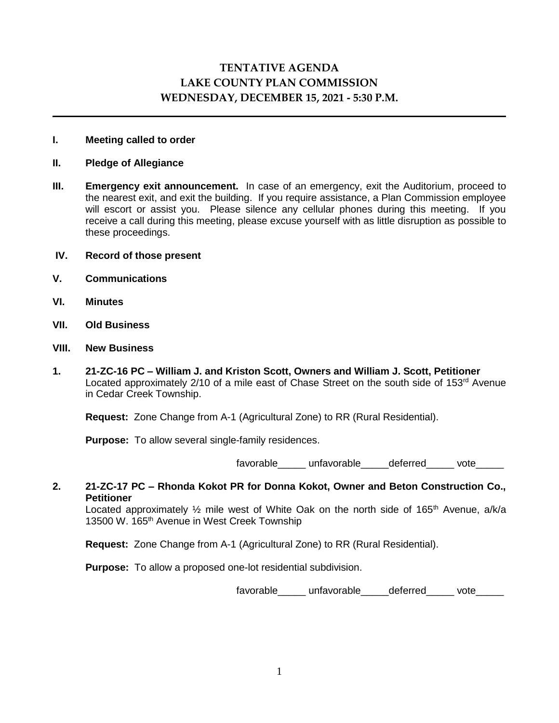# **TENTATIVE AGENDA LAKE COUNTY PLAN COMMISSION WEDNESDAY, DECEMBER 15, 2021 - 5:30 P.M.**

## **I. Meeting called to order**

#### **II. Pledge of Allegiance**

**III. Emergency exit announcement.** In case of an emergency, exit the Auditorium, proceed to the nearest exit, and exit the building. If you require assistance, a Plan Commission employee will escort or assist you. Please silence any cellular phones during this meeting. If you receive a call during this meeting, please excuse yourself with as little disruption as possible to these proceedings.

#### **IV. Record of those present**

- **V. Communications**
- **VI. Minutes**
- **VII. Old Business**
- **VIII. New Business**
- **1. 21-ZC-16 PC – William J. and Kriston Scott, Owners and William J. Scott, Petitioner** Located approximately 2/10 of a mile east of Chase Street on the south side of 153<sup>rd</sup> Avenue in Cedar Creek Township.

**Request:** Zone Change from A-1 (Agricultural Zone) to RR (Rural Residential).

**Purpose:** To allow several single-family residences.

favorable unfavorable deferred vote

## **2. 21-ZC-17 PC – Rhonda Kokot PR for Donna Kokot, Owner and Beton Construction Co., Petitioner**

Located approximately  $\frac{1}{2}$  mile west of White Oak on the north side of 165<sup>th</sup> Avenue, a/k/a 13500 W. 165<sup>th</sup> Avenue in West Creek Township

 **Request:** Zone Change from A-1 (Agricultural Zone) to RR (Rural Residential).

**Purpose:** To allow a proposed one-lot residential subdivision.

favorable\_\_\_\_\_\_ unfavorable\_\_\_\_\_deferred\_\_\_\_\_ vote\_\_\_\_\_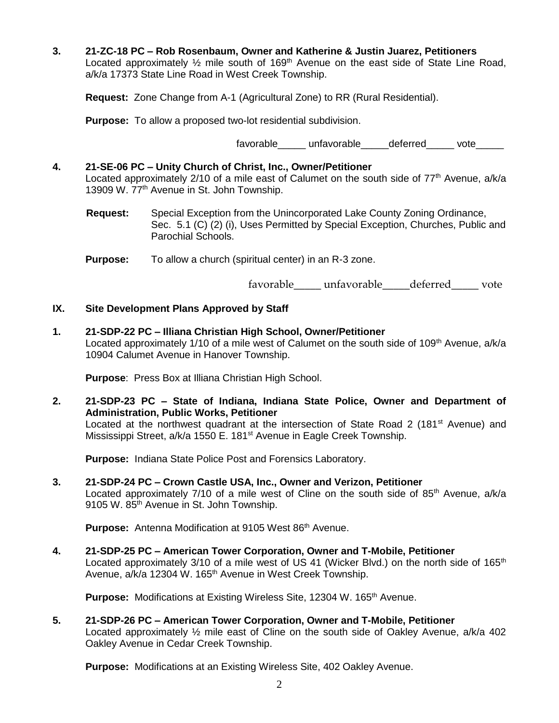**3. 21-ZC-18 PC – Rob Rosenbaum, Owner and Katherine & Justin Juarez, Petitioners** Located approximately  $\frac{1}{2}$  mile south of 169<sup>th</sup> Avenue on the east side of State Line Road, a/k/a 17373 State Line Road in West Creek Township.

 **Request:** Zone Change from A-1 (Agricultural Zone) to RR (Rural Residential).

**Purpose:** To allow a proposed two-lot residential subdivision.

favorable unfavorable deferred vote

## **4. 21-SE-06 PC – Unity Church of Christ, Inc., Owner/Petitioner**

Located approximately  $2/10$  of a mile east of Calumet on the south side of  $77<sup>th</sup>$  Avenue,  $a/k/a$ 13909 W. 77<sup>th</sup> Avenue in St. John Township.

- **Request:** Special Exception from the Unincorporated Lake County Zoning Ordinance, Sec. 5.1 (C) (2) (i), Uses Permitted by Special Exception, Churches, Public and Parochial Schools.
- **Purpose:** To allow a church (spiritual center) in an R-3 zone.

favorable\_\_\_\_\_ unfavorable\_\_\_\_\_deferred\_\_\_\_\_ vote

## **IX. Site Development Plans Approved by Staff**

**1. 21-SDP-22 PC – Illiana Christian High School, Owner/Petitioner** Located approximately 1/10 of a mile west of Calumet on the south side of 109<sup>th</sup> Avenue, a/k/a 10904 Calumet Avenue in Hanover Township.

**Purpose**: Press Box at Illiana Christian High School.

**2. 21-SDP-23 PC – State of Indiana, Indiana State Police, Owner and Department of Administration, Public Works, Petitioner**

Located at the northwest quadrant at the intersection of State Road 2 (181<sup>st</sup> Avenue) and Mississippi Street, a/k/a 1550 E. 181<sup>st</sup> Avenue in Eagle Creek Township.

**Purpose:** Indiana State Police Post and Forensics Laboratory.

**3. 21-SDP-24 PC – Crown Castle USA, Inc., Owner and Verizon, Petitioner** Located approximately 7/10 of a mile west of Cline on the south side of 85<sup>th</sup> Avenue,  $a/k/a$ 9105 W. 85<sup>th</sup> Avenue in St. John Township.

**Purpose:** Antenna Modification at 9105 West 86<sup>th</sup> Avenue.

**4. 21-SDP-25 PC – American Tower Corporation, Owner and T-Mobile, Petitioner** Located approximately 3/10 of a mile west of US 41 (Wicker Blvd.) on the north side of 165<sup>th</sup> Avenue, a/k/a 12304 W. 165<sup>th</sup> Avenue in West Creek Township.

**Purpose:** Modifications at Existing Wireless Site, 12304 W. 165<sup>th</sup> Avenue.

**5. 21-SDP-26 PC – American Tower Corporation, Owner and T-Mobile, Petitioner** Located approximately  $\frac{1}{2}$  mile east of Cline on the south side of Oakley Avenue, a/k/a 402 Oakley Avenue in Cedar Creek Township.

**Purpose:** Modifications at an Existing Wireless Site, 402 Oakley Avenue.